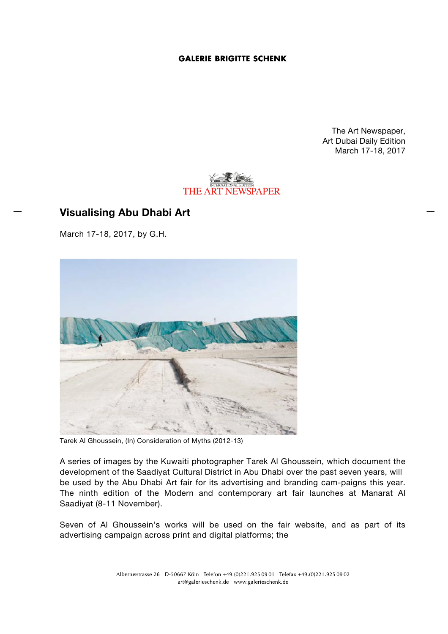## **GALERIE BRIGITTE SCHENK**

The Art Newspaper, Art Dubai Daily Edition March 17-18, 2017



## **Visualising Abu Dhabi Art**

March 17-18, 2017, by G.H.



Tarek Al Ghoussein, (In) Consideration of Myths (2012-13)

A series of images by the Kuwaiti photographer Tarek Al Ghoussein, which document the development of the Saadiyat Cultural District in Abu Dhabi over the past seven years, will be used by the Abu Dhabi Art fair for its advertising and branding cam-paigns this year. The ninth edition of the Modern and contemporary art fair launches at Manarat Al Saadiyat (8-11 November).

Seven of Al Ghoussein's works will be used on the fair website, and as part of its advertising campaign across print and digital platforms; the